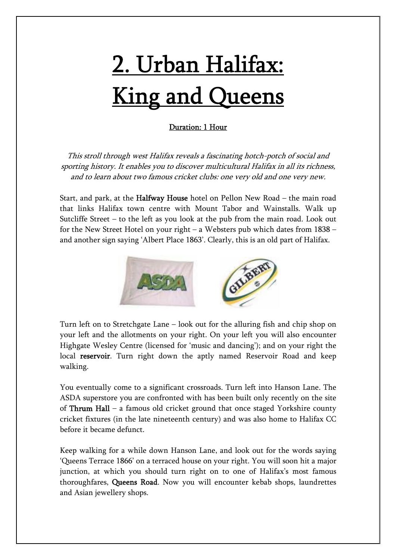## <u>2. Urban Halifax:</u> **King and Queens**

## Duration: 1 Hour

This stroll through west Halifax reveals a fascinating hotch-potch of social and sporting history. It enables you to discover multicultural Halifax in all its richness, and to learn about two famous cricket clubs: one very old and one very new.

Start, and park, at the Halfway House hotel on Pellon New Road – the main road that links Halifax town centre with Mount Tabor and Wainstalls. Walk up Sutcliffe Street – to the left as you look at the pub from the main road. Look out for the New Street Hotel on your right – a Websters pub which dates from 1838 – and another sign saying 'Albert Place 1863'. Clearly, this is an old part of Halifax.



Turn left on to Stretchgate Lane – look out for the alluring fish and chip shop on your left and the allotments on your right. On your left you will also encounter Highgate Wesley Centre (licensed for 'music and dancing'); and on your right the local reservoir. Turn right down the aptly named Reservoir Road and keep walking.

You eventually come to a significant crossroads. Turn left into Hanson Lane. The ASDA superstore you are confronted with has been built only recently on the site of Thrum Hall – a famous old cricket ground that once staged Yorkshire county cricket fixtures (in the late nineteenth century) and was also home to Halifax CC before it became defunct.

Keep walking for a while down Hanson Lane, and look out for the words saying 'Queens Terrace 1866' on a terraced house on your right. You will soon hit a major junction, at which you should turn right on to one of Halifax's most famous thoroughfares, Queens Road. Now you will encounter kebab shops, laundrettes and Asian jewellery shops.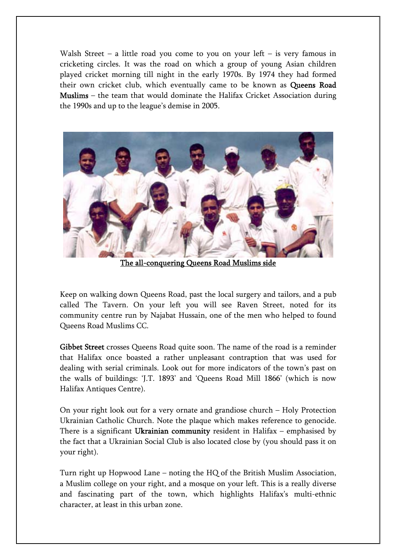Walsh Street – a little road you come to you on your left – is very famous in cricketing circles. It was the road on which a group of young Asian children played cricket morning till night in the early 1970s. By 1974 they had formed their own cricket club, which eventually came to be known as Queens Road Muslims – the team that would dominate the Halifax Cricket Association during the 1990s and up to the league's demise in 2005.



The all-conquering Queens Road Muslims side

Keep on walking down Queens Road, past the local surgery and tailors, and a pub called The Tavern. On your left you will see Raven Street, noted for its community centre run by Najabat Hussain, one of the men who helped to found Queens Road Muslims CC.

Gibbet Street crosses Queens Road quite soon. The name of the road is a reminder that Halifax once boasted a rather unpleasant contraption that was used for dealing with serial criminals. Look out for more indicators of the town's past on the walls of buildings: 'J.T. 1893' and 'Queens Road Mill 1866' (which is now Halifax Antiques Centre).

On your right look out for a very ornate and grandiose church – Holy Protection Ukrainian Catholic Church. Note the plaque which makes reference to genocide. There is a significant Ukrainian community resident in Halifax – emphasised by the fact that a Ukrainian Social Club is also located close by (you should pass it on your right).

Turn right up Hopwood Lane – noting the HQ of the British Muslim Association, a Muslim college on your right, and a mosque on your left. This is a really diverse and fascinating part of the town, which highlights Halifax's multi-ethnic character, at least in this urban zone.